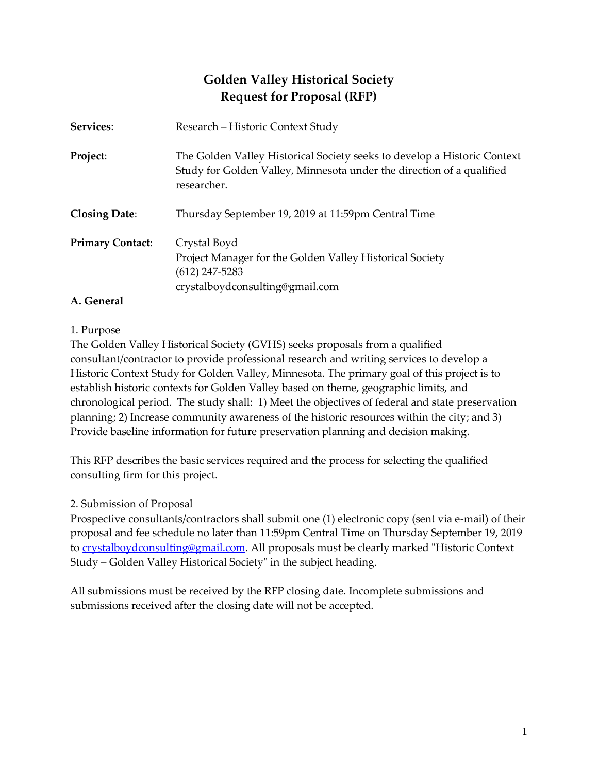# **Golden Valley Historical Society Request for Proposal (RFP)**

| Services:               | Research – Historic Context Study                                                                                                                                |
|-------------------------|------------------------------------------------------------------------------------------------------------------------------------------------------------------|
| Project:                | The Golden Valley Historical Society seeks to develop a Historic Context<br>Study for Golden Valley, Minnesota under the direction of a qualified<br>researcher. |
| <b>Closing Date:</b>    | Thursday September 19, 2019 at 11:59pm Central Time                                                                                                              |
| <b>Primary Contact:</b> | Crystal Boyd<br>Project Manager for the Golden Valley Historical Society<br>$(612)$ 247-5283<br>crystalboydconsulting@gmail.com                                  |

# **A. General**

### 1. Purpose

The Golden Valley Historical Society (GVHS) seeks proposals from a qualified consultant/contractor to provide professional research and writing services to develop a Historic Context Study for Golden Valley, Minnesota. The primary goal of this project is to establish historic contexts for Golden Valley based on theme, geographic limits, and chronological period. The study shall: 1) Meet the objectives of federal and state preservation planning; 2) Increase community awareness of the historic resources within the city; and 3) Provide baseline information for future preservation planning and decision making.

This RFP describes the basic services required and the process for selecting the qualified consulting firm for this project.

### 2. Submission of Proposal

Prospective consultants/contractors shall submit one (1) electronic copy (sent via e-mail) of their proposal and fee schedule no later than 11:59pm Central Time on Thursday September 19, 2019 to [crystalboydconsulting@gmail.com.](mailto:crystal.boyd@colorado.edu) All proposals must be clearly marked "Historic Context" Study – Golden Valley Historical Society" in the subject heading.

All submissions must be received by the RFP closing date. Incomplete submissions and submissions received after the closing date will not be accepted.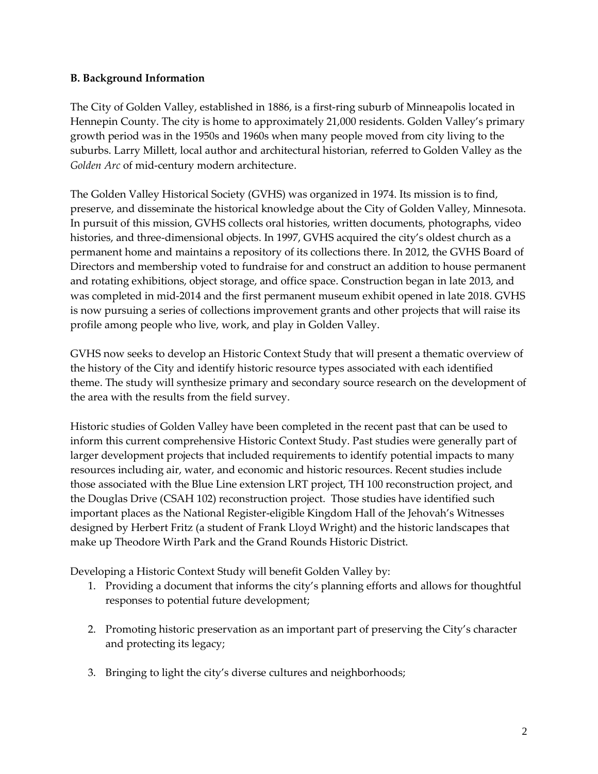### **B. Background Information**

The City of Golden Valley, established in 1886, is a first-ring suburb of Minneapolis located in Hennepin County. The city is home to approximately 21,000 residents. Golden Valley's primary growth period was in the 1950s and 1960s when many people moved from city living to the suburbs. Larry Millett, local author and architectural historian, referred to Golden Valley as the *Golden Arc* of mid-century modern architecture.

The Golden Valley Historical Society (GVHS) was organized in 1974. Its mission is to find, preserve, and disseminate the historical knowledge about the City of Golden Valley, Minnesota. In pursuit of this mission, GVHS collects oral histories, written documents, photographs, video histories, and three-dimensional objects. In 1997, GVHS acquired the city's oldest church as a permanent home and maintains a repository of its collections there. In 2012, the GVHS Board of Directors and membership voted to fundraise for and construct an addition to house permanent and rotating exhibitions, object storage, and office space. Construction began in late 2013, and was completed in mid-2014 and the first permanent museum exhibit opened in late 2018. GVHS is now pursuing a series of collections improvement grants and other projects that will raise its profile among people who live, work, and play in Golden Valley.

GVHS now seeks to develop an Historic Context Study that will present a thematic overview of the history of the City and identify historic resource types associated with each identified theme. The study will synthesize primary and secondary source research on the development of the area with the results from the field survey.

Historic studies of Golden Valley have been completed in the recent past that can be used to inform this current comprehensive Historic Context Study. Past studies were generally part of larger development projects that included requirements to identify potential impacts to many resources including air, water, and economic and historic resources. Recent studies include those associated with the Blue Line extension LRT project, TH 100 reconstruction project, and the Douglas Drive (CSAH 102) reconstruction project. Those studies have identified such important places as the National Register-eligible Kingdom Hall of the Jehovah's Witnesses designed by Herbert Fritz (a student of Frank Lloyd Wright) and the historic landscapes that make up Theodore Wirth Park and the Grand Rounds Historic District.

Developing a Historic Context Study will benefit Golden Valley by:

- 1. Providing a document that informs the city's planning efforts and allows for thoughtful responses to potential future development;
- 2. Promoting historic preservation as an important part of preserving the City's character and protecting its legacy;
- 3. Bringing to light the city's diverse cultures and neighborhoods;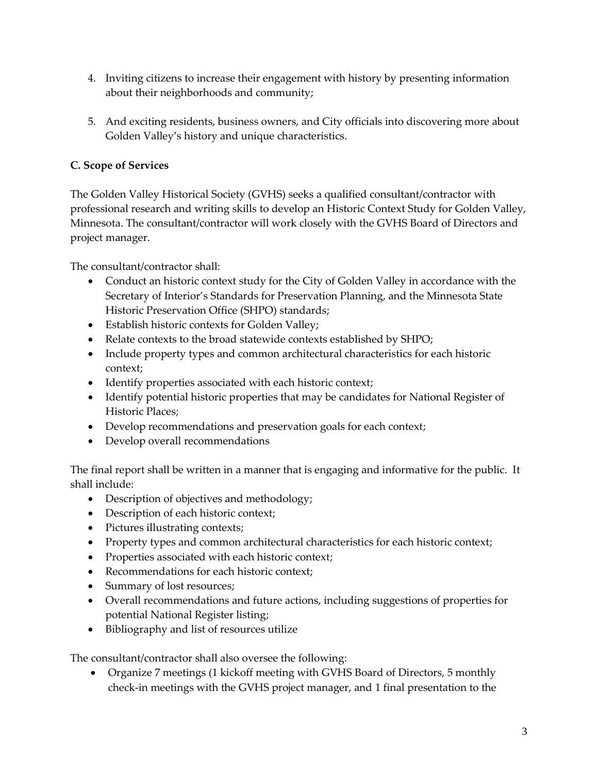- 4. Inviting citizens to increase their engagement with history by presenting information about their neighborhoods and community;
- 5. And exciting residents, business owners, and City officials into discovering more about Golden Valley's history and unique characteristics.

# **C. Scope of Services**

The Golden Valley Historical Society (GVHS) seeks a qualified consultant/contractor with professional research and writing skills to develop an Historic Context Study for Golden Valley, Minnesota. The consultant/contractor will work closely with the GVHS Board of Directors and project manager.

The consultant/contractor shall:

- Conduct an historic context study for the City of Golden Valley in accordance with the Secretary of Interior's Standards for Preservation Planning, and the Minnesota State Historic Preservation Office (SHPO) standards;
- Establish historic contexts for Golden Valley;
- Relate contexts to the broad statewide contexts established by SHPO;
- Include property types and common architectural characteristics for each historic context;
- Identify properties associated with each historic context;
- Identify potential historic properties that may be candidates for National Register of Historic Places;
- Develop recommendations and preservation goals for each context;
- Develop overall recommendations

The final report shall be written in a manner that is engaging and informative for the public. It shall include:

- Description of objectives and methodology;
- Description of each historic context;
- Pictures illustrating contexts;
- Property types and common architectural characteristics for each historic context;
- Properties associated with each historic context;
- Recommendations for each historic context;
- Summary of lost resources;
- Overall recommendations and future actions, including suggestions of properties for potential National Register listing;
- Bibliography and list of resources utilize

The consultant/contractor shall also oversee the following:

• Organize 7 meetings (1 kickoff meeting with GVHS Board of Directors, 5 monthly check-in meetings with the GVHS project manager, and 1 final presentation to the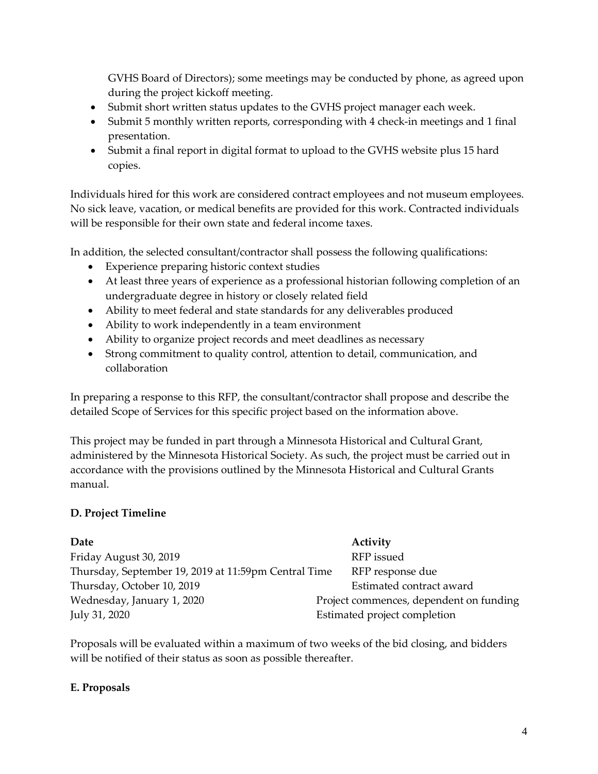GVHS Board of Directors); some meetings may be conducted by phone, as agreed upon during the project kickoff meeting.

- Submit short written status updates to the GVHS project manager each week.
- Submit 5 monthly written reports, corresponding with 4 check-in meetings and 1 final presentation.
- Submit a final report in digital format to upload to the GVHS website plus 15 hard copies.

Individuals hired for this work are considered contract employees and not museum employees. No sick leave, vacation, or medical benefits are provided for this work. Contracted individuals will be responsible for their own state and federal income taxes.

In addition, the selected consultant/contractor shall possess the following qualifications:

- Experience preparing historic context studies
- At least three years of experience as a professional historian following completion of an undergraduate degree in history or closely related field
- Ability to meet federal and state standards for any deliverables produced
- Ability to work independently in a team environment
- Ability to organize project records and meet deadlines as necessary
- Strong commitment to quality control, attention to detail, communication, and collaboration

In preparing a response to this RFP, the consultant/contractor shall propose and describe the detailed Scope of Services for this specific project based on the information above.

This project may be funded in part through a Minnesota Historical and Cultural Grant, administered by the Minnesota Historical Society. As such, the project must be carried out in accordance with the provisions outlined by the Minnesota Historical and Cultural Grants manual.

# **D. Project Timeline**

| Date                                                 | Activity                                |
|------------------------------------------------------|-----------------------------------------|
| Friday August 30, 2019                               | RFP issued                              |
| Thursday, September 19, 2019 at 11:59pm Central Time | RFP response due                        |
| Thursday, October 10, 2019                           | Estimated contract award                |
| Wednesday, January 1, 2020                           | Project commences, dependent on funding |
| July 31, 2020                                        | Estimated project completion            |

Proposals will be evaluated within a maximum of two weeks of the bid closing, and bidders will be notified of their status as soon as possible thereafter.

### **E. Proposals**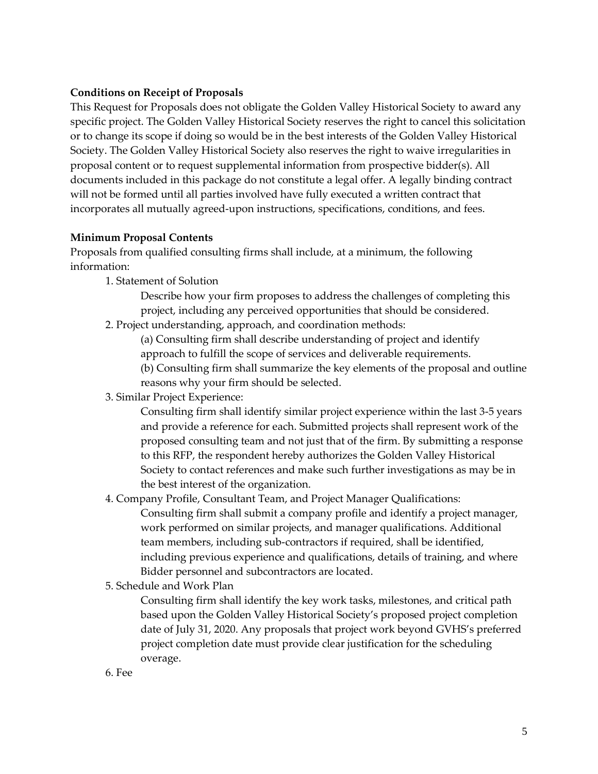#### **Conditions on Receipt of Proposals**

This Request for Proposals does not obligate the Golden Valley Historical Society to award any specific project. The Golden Valley Historical Society reserves the right to cancel this solicitation or to change its scope if doing so would be in the best interests of the Golden Valley Historical Society. The Golden Valley Historical Society also reserves the right to waive irregularities in proposal content or to request supplemental information from prospective bidder(s). All documents included in this package do not constitute a legal offer. A legally binding contract will not be formed until all parties involved have fully executed a written contract that incorporates all mutually agreed-upon instructions, specifications, conditions, and fees.

#### **Minimum Proposal Contents**

Proposals from qualified consulting firms shall include, at a minimum, the following information:

1. Statement of Solution

Describe how your firm proposes to address the challenges of completing this project, including any perceived opportunities that should be considered.

2. Project understanding, approach, and coordination methods:

(a) Consulting firm shall describe understanding of project and identify

approach to fulfill the scope of services and deliverable requirements.

(b) Consulting firm shall summarize the key elements of the proposal and outline reasons why your firm should be selected.

3. Similar Project Experience:

Consulting firm shall identify similar project experience within the last 3-5 years and provide a reference for each. Submitted projects shall represent work of the proposed consulting team and not just that of the firm. By submitting a response to this RFP, the respondent hereby authorizes the Golden Valley Historical Society to contact references and make such further investigations as may be in the best interest of the organization.

4. Company Profile, Consultant Team, and Project Manager Qualifications: Consulting firm shall submit a company profile and identify a project manager, work performed on similar projects, and manager qualifications. Additional team members, including sub-contractors if required, shall be identified, including previous experience and qualifications, details of training, and where Bidder personnel and subcontractors are located.

5. Schedule and Work Plan

Consulting firm shall identify the key work tasks, milestones, and critical path based upon the Golden Valley Historical Society's proposed project completion date of July 31, 2020. Any proposals that project work beyond GVHS's preferred project completion date must provide clear justification for the scheduling overage.

6. Fee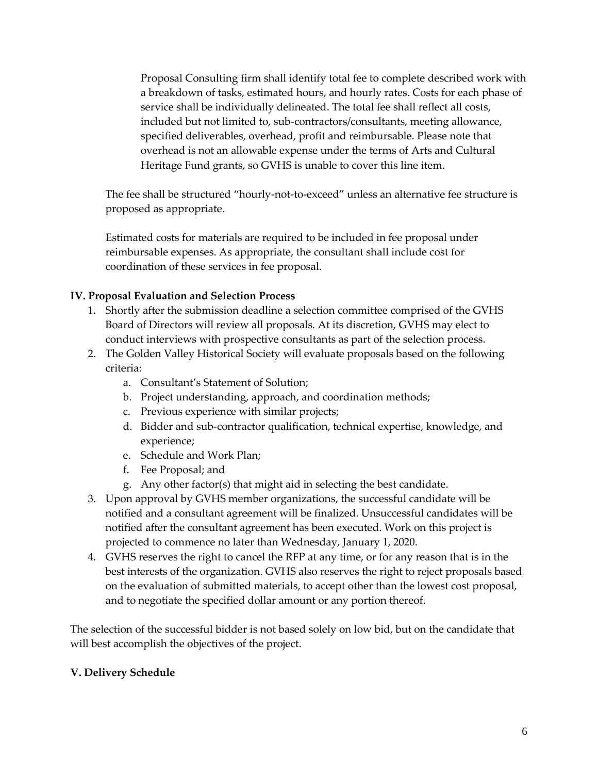Proposal Consulting firm shall identify total fee to complete described work with a breakdown of tasks, estimated hours, and hourly rates. Costs for each phase of service shall be individually delineated. The total fee shall reflect all costs, included but not limited to, sub-contractors/consultants, meeting allowance, specified deliverables, overhead, profit and reimbursable. Please note that overhead is not an allowable expense under the terms of Arts and Cultural Heritage Fund grants, so GVHS is unable to cover this line item.

The fee shall be structured "hourly-not-to-exceed" unless an alternative fee structure is proposed as appropriate.

Estimated costs for materials are required to be included in fee proposal under reimbursable expenses. As appropriate, the consultant shall include cost for coordination of these services in fee proposal.

### **IV. Proposal Evaluation and Selection Process**

- 1. Shortly after the submission deadline a selection committee comprised of the GVHS Board of Directors will review all proposals. At its discretion, GVHS may elect to conduct interviews with prospective consultants as part of the selection process.
- 2. The Golden Valley Historical Society will evaluate proposals based on the following criteria:
	- a. Consultant's Statement of Solution;
	- b. Project understanding, approach, and coordination methods;
	- c. Previous experience with similar projects;
	- d. Bidder and sub-contractor qualification, technical expertise, knowledge, and experience;
	- e. Schedule and Work Plan;
	- f. Fee Proposal; and
	- g. Any other factor(s) that might aid in selecting the best candidate.
- 3. Upon approval by GVHS member organizations, the successful candidate will be notified and a consultant agreement will be finalized. Unsuccessful candidates will be notified after the consultant agreement has been executed. Work on this project is projected to commence no later than Wednesday, January 1, 2020.
- 4. GVHS reserves the right to cancel the RFP at any time, or for any reason that is in the best interests of the organization. GVHS also reserves the right to reject proposals based on the evaluation of submitted materials, to accept other than the lowest cost proposal, and to negotiate the specified dollar amount or any portion thereof.

The selection of the successful bidder is not based solely on low bid, but on the candidate that will best accomplish the objectives of the project.

#### **V. Delivery Schedule**